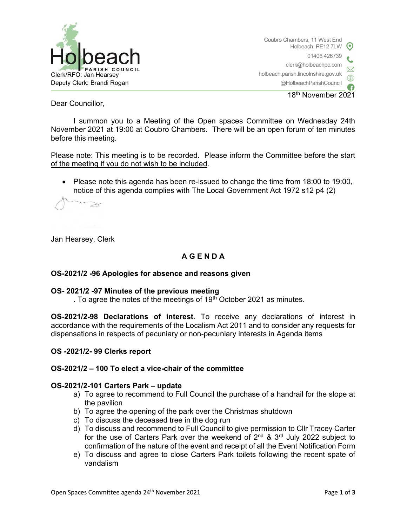

18th November 2021

Dear Councillor,

I summon you to a Meeting of the Open spaces Committee on Wednesday 24th November 2021 at 19:00 at Coubro Chambers. There will be an open forum of ten minutes before this meeting.

Please note: This meeting is to be recorded. Please inform the Committee before the start of the meeting if you do not wish to be included.

 Please note this agenda has been re-issued to change the time from 18:00 to 19:00, notice of this agenda complies with The Local Government Act 1972 s12 p4 (2)

 $\geq$ 

Jan Hearsey, Clerk

### A G E N D A

#### OS-2021/2 -96 Apologies for absence and reasons given

#### OS- 2021/2 -97 Minutes of the previous meeting

. To agree the notes of the meetings of  $19<sup>th</sup>$  October 2021 as minutes.

OS-2021/2-98 Declarations of interest. To receive any declarations of interest in accordance with the requirements of the Localism Act 2011 and to consider any requests for dispensations in respects of pecuniary or non-pecuniary interests in Agenda items

#### OS -2021/2- 99 Clerks report

### OS-2021/2 – 100 To elect a vice-chair of the committee

#### OS-2021/2-101 Carters Park – update

- a) To agree to recommend to Full Council the purchase of a handrail for the slope at the pavilion
- b) To agree the opening of the park over the Christmas shutdown
- c) To discuss the deceased tree in the dog run
- d) To discuss and recommend to Full Council to give permission to Cllr Tracey Carter for the use of Carters Park over the weekend of  $2^{nd}$  &  $3^{rd}$  July 2022 subject to confirmation of the nature of the event and receipt of all the Event Notification Form
- e) To discuss and agree to close Carters Park toilets following the recent spate of vandalism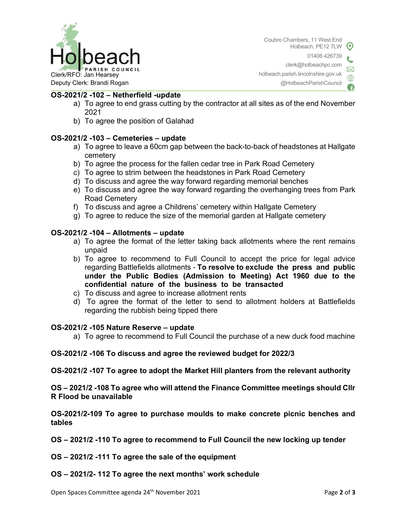

Coubro Chambers, 11 West End Holbeach, PE12 7LW 01406 426739 clerk@holbeachpc.com holbeach.parish.lincolnshire.gov.uk

@HolbeachParishCouncil

## OS-2021/2 -102 – Netherfield -update

- a) To agree to end grass cutting by the contractor at all sites as of the end November 2021
- b) To agree the position of Galahad

# OS-2021/2 -103 – Cemeteries – update

- a) To agree to leave a 60cm gap between the back-to-back of headstones at Hallgate cemetery
- b) To agree the process for the fallen cedar tree in Park Road Cemetery
- c) To agree to strim between the headstones in Park Road Cemetery
- d) To discuss and agree the way forward regarding memorial benches
- e) To discuss and agree the way forward regarding the overhanging trees from Park Road Cemetery
- f) To discuss and agree a Childrens' cemetery within Hallgate Cemetery
- g) To agree to reduce the size of the memorial garden at Hallgate cemetery

# OS-2021/2 -104 – Allotments – update

- a) To agree the format of the letter taking back allotments where the rent remains unpaid
- b) To agree to recommend to Full Council to accept the price for legal advice regarding Battlefields allotments - To resolve to exclude the press and public under the Public Bodies (Admission to Meeting) Act 1960 due to the confidential nature of the business to be transacted
- c) To discuss and agree to increase allotment rents
- d) To agree the format of the letter to send to allotment holders at Battlefields regarding the rubbish being tipped there

### OS-2021/2 -105 Nature Reserve – update

a) To agree to recommend to Full Council the purchase of a new duck food machine

### OS-2021/2 -106 To discuss and agree the reviewed budget for 2022/3

OS-2021/2 -107 To agree to adopt the Market Hill planters from the relevant authority

OS – 2021/2 -108 To agree who will attend the Finance Committee meetings should Cllr R Flood be unavailable

OS-2021/2-109 To agree to purchase moulds to make concrete picnic benches and tables

OS – 2021/2 -110 To agree to recommend to Full Council the new locking up tender

- OS 2021/2 -111 To agree the sale of the equipment
- OS 2021/2- 112 To agree the next months' work schedule